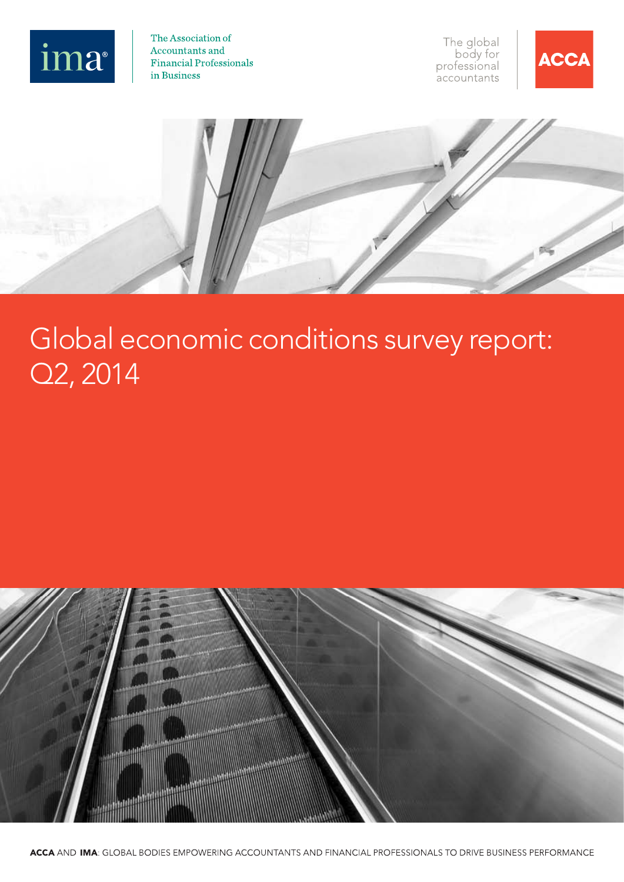

The Association of Accountants and **Financial Professionals** in Business

The global<br>body for professional .<br>accountants



# Global economic conditions survey report: Q2, 2014

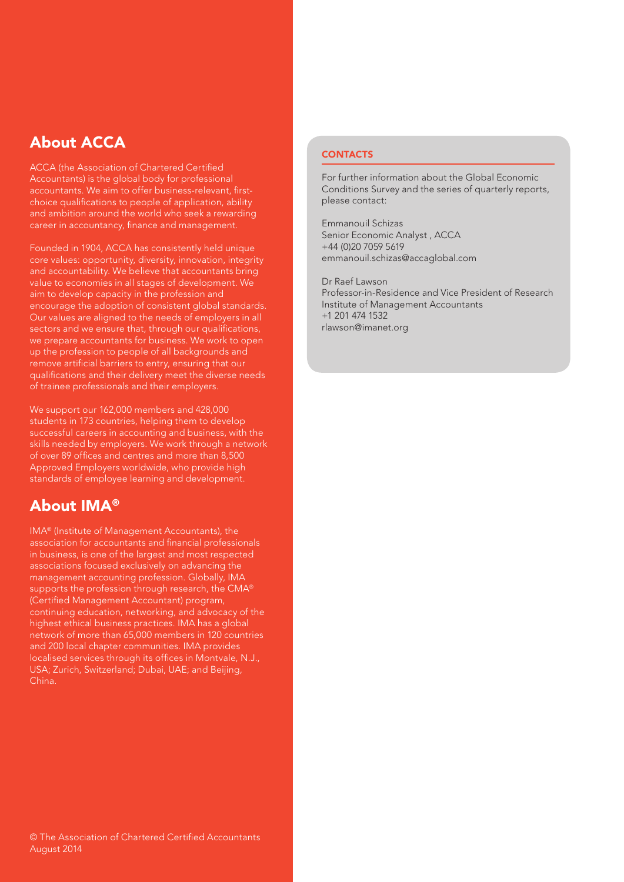# About ACCA

ACCA (the Association of Chartered Certified Accountants) is the global body for professional accountants. We aim to offer business-relevant, firstchoice qualifications to people of application, ability and ambition around the world who seek a rewarding career in accountancy, finance and management.

Founded in 1904, ACCA has consistently held unique core values: opportunity, diversity, innovation, integrity and accountability. We believe that accountants bring value to economies in all stages of development. We aim to develop capacity in the profession and encourage the adoption of consistent global standards. Our values are aligned to the needs of employers in all sectors and we ensure that, through our qualifications, we prepare accountants for business. We work to open up the profession to people of all backgrounds and remove artificial barriers to entry, ensuring that our qualifications and their delivery meet the diverse needs of trainee professionals and their employers.

We support our 162,000 members and 428,000 students in 173 countries, helping them to develop successful careers in accounting and business, with the skills needed by employers. We work through a network of over 89 offices and centres and more than 8,500 Approved Employers worldwide, who provide high standards of employee learning and development.

# About IMA®

IMA® (Institute of Management Accountants), the association for accountants and financial professionals in business, is one of the largest and most respected associations focused exclusively on advancing the management accounting profession. Globally, IMA supports the profession through research, the CMA® (Certified Management Accountant) program, continuing education, networking, and advocacy of the highest ethical business practices. IMA has a global network of more than 65,000 members in 120 countries and 200 local chapter communities. IMA provides localised services through its offices in Montvale, N.J., USA; Zurich, Switzerland; Dubai, UAE; and Beijing, China.

## **CONTACTS**

For further information about the Global Economic Conditions Survey and the series of quarterly reports, please contact:

Emmanouil Schizas Senior Economic Analyst , ACCA +44 (0)20 7059 5619 [emmanouil.schizas@accaglobal.com](mailto:emmanouil.schizas@accaglobal.com)

Dr Raef Lawson Professor-in-Residence and Vice President of Research Institute of Management Accountants +1 201 474 1532 [rlawson@imanet.org](mailto:rlawson@imanet.org)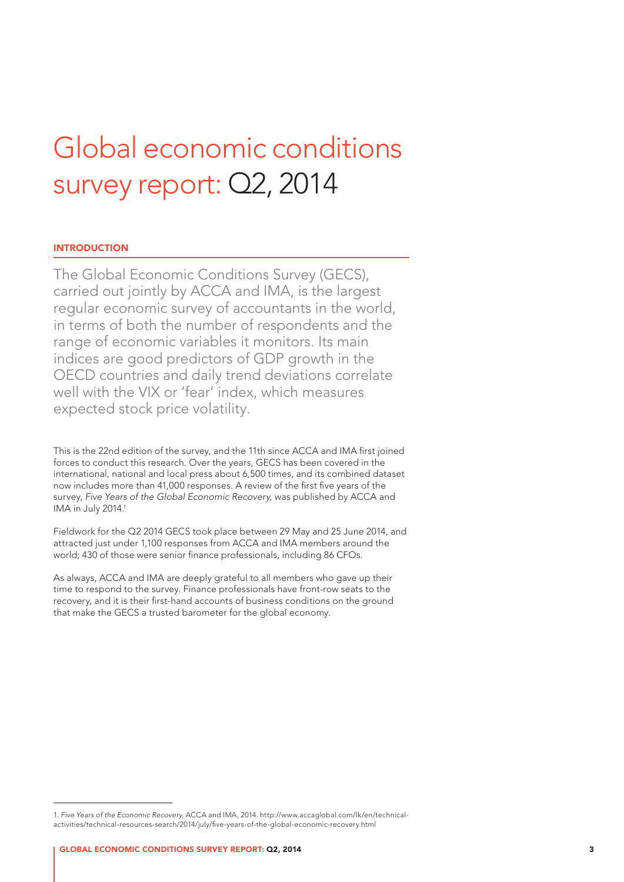# Global economic conditions survey report: Q2, 2014

### **INTRODUCTION**

The Global Economic Conditions Survey (GECS), carried out jointly by ACCA and IMA, is the largest regular economic survey of accountants in the world, in terms of both the number of respondents and the range of economic variables it monitors. Its main indices are good predictors of GDP growth in the OECD countries and daily trend deviations correlate well with the VIX or 'fear' index, which measures expected stock price volatility.

This is the 22nd edition of the survey, and the 11th since ACCA and IMA first joined forces to conduct this research. Over the years, GECS has been covered in the international, national and local press about 6,500 times, and its combined dataset now includes more than 41,000 responses. A review of the first five years of the survey, *Five Years of the Global Economic Recovery,* was published by ACCA and IMA in July 2014.<sup>1</sup>

Fieldwork for the Q2 2014 GECS took place between 29 May and 25 June 2014, and attracted just under 1,100 responses from ACCA and IMA members around the world; 430 of those were senior finance professionals, including 86 CFOs.

As always, ACCA and IMA are deeply grateful to all members who gave up their time to respond to the survey. Finance professionals have front-row seats to the recovery, and it is their first-hand accounts of business conditions on the ground that make the GECS a trusted barometer for the global economy.

<sup>1.</sup> *Five Years of the Economic Recovery,* ACCA and IMA, 2014. [http://www.accaglobal.com/lk/en/technical](http://www.accaglobal.com/lk/en/technical-activities/technical-resources-search/2014/july/five-years-of-the-global-economic-recovery.html)[activities/technical-resources-search/2014/july/five-years-of-the-global-economic-recovery.html](http://www.accaglobal.com/lk/en/technical-activities/technical-resources-search/2014/july/five-years-of-the-global-economic-recovery.html)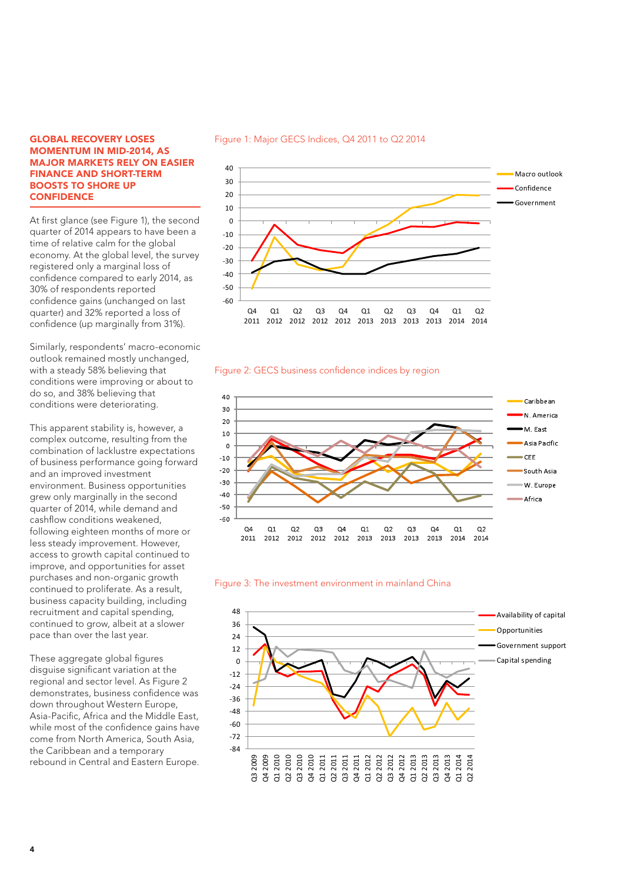#### GLOBAL RECOVERY LOSES MOMENTUM IN MID-2014, AS MAJOR MARKETS RELY ON EASIER FINANCE AND SHORT-TERM BOOSTS TO SHORE UP **CONFIDENCE**

At first glance (see Figure 1), the second quarter of 2014 appears to have been a time of relative calm for the global economy. At the global level, the survey registered only a marginal loss of confidence compared to early 2014, as 30% of respondents reported confidence gains (unchanged on last quarter) and 32% reported a loss of confidence (up marginally from 31%).

Similarly, respondents' macro-economic outlook remained mostly unchanged, with a steady 58% believing that conditions were improving or about to do so, and 38% believing that conditions were deteriorating.

This apparent stability is, however, a complex outcome, resulting from the combination of lacklustre expectations of business performance going forward and an improved investment environment. Business opportunities grew only marginally in the second quarter of 2014, while demand and cashflow conditions weakened, following eighteen months of more or less steady improvement. However, access to growth capital continued to improve, and opportunities for asset purchases and non-organic growth continued to proliferate. As a result, business capacity building, including recruitment and capital spending, continued to grow, albeit at a slower pace than over the last year.

These aggregate global figures disguise significant variation at the regional and sector level. As Figure 2 demonstrates, business confidence was down throughout Western Europe, Asia-Pacific, Africa and the Middle East, while most of the confidence gains have come from North America, South Asia, the Caribbean and a temporary rebound in Central and Eastern Europe.



2011 2012 2012 2012 2012 2013 2013 2013 2013 2014 2014

#### Figure 1: Major GECS Indices, Q4 2011 to Q2 2014

## Figure 2: GECS business confidence indices by region





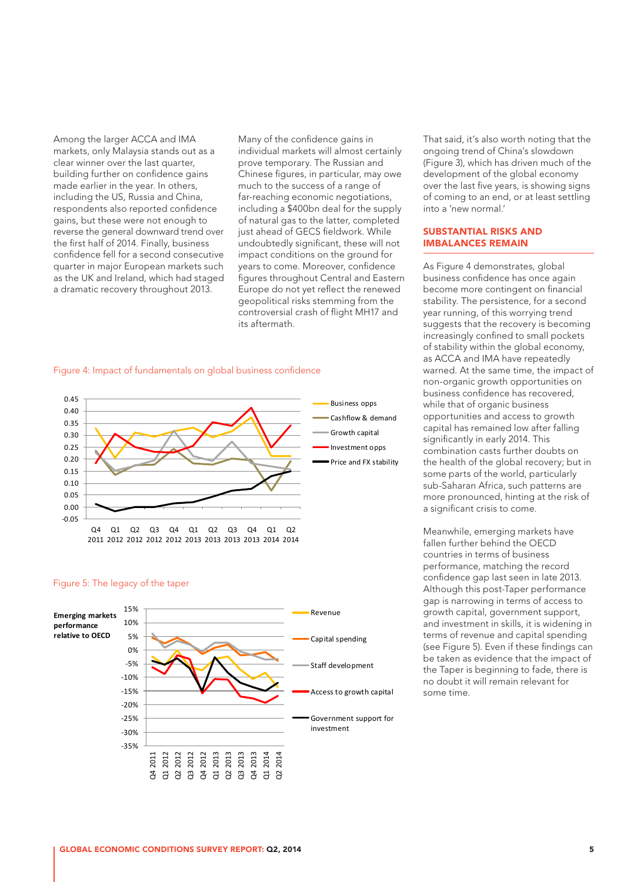Among the larger ACCA and IMA markets, only Malaysia stands out as a clear winner over the last quarter, building further on confidence gains made earlier in the year. In others, including the US, Russia and China, respondents also reported confidence gains, but these were not enough to reverse the general downward trend over the first half of 2014. Finally, business confidence fell for a second consecutive quarter in major European markets such as the UK and Ireland, which had staged a dramatic recovery throughout 2013.

Many of the confidence gains in individual markets will almost certainly prove temporary. The Russian and Chinese figures, in particular, may owe much to the success of a range of far-reaching economic negotiations, including a \$400bn deal for the supply of natural gas to the latter, completed just ahead of GECS fieldwork. While undoubtedly significant, these will not impact conditions on the ground for years to come. Moreover, confidence figures throughout Central and Eastern Europe do not yet reflect the renewed geopolitical risks stemming from the controversial crash of flight MH17 and its aftermath.

#### Figure 4: Impact of fundamentals on global business confidence



#### Figure 5: The legacy of the taper



That said, it's also worth noting that the ongoing trend of China's slowdown (Figure 3), which has driven much of the development of the global economy over the last five years, is showing signs of coming to an end, or at least settling into a 'new normal.'

#### SUBSTANTIAL RISKS AND IMBALANCES REMAIN

As Figure 4 demonstrates, global business confidence has once again become more contingent on financial stability. The persistence, for a second year running, of this worrying trend suggests that the recovery is becoming increasingly confined to small pockets of stability within the global economy, as ACCA and IMA have repeatedly warned. At the same time, the impact of non-organic growth opportunities on business confidence has recovered, while that of organic business opportunities and access to growth capital has remained low after falling significantly in early 2014. This combination casts further doubts on the health of the global recovery; but in some parts of the world, particularly sub-Saharan Africa, such patterns are more pronounced, hinting at the risk of a significant crisis to come.

Meanwhile, emerging markets have fallen further behind the OECD countries in terms of business performance, matching the record confidence gap last seen in late 2013. Although this post-Taper performance gap is narrowing in terms of access to growth capital, government support, and investment in skills, it is widening in terms of revenue and capital spending (see Figure 5). Even if these findings can be taken as evidence that the impact of the Taper is beginning to fade, there is no doubt it will remain relevant for some time.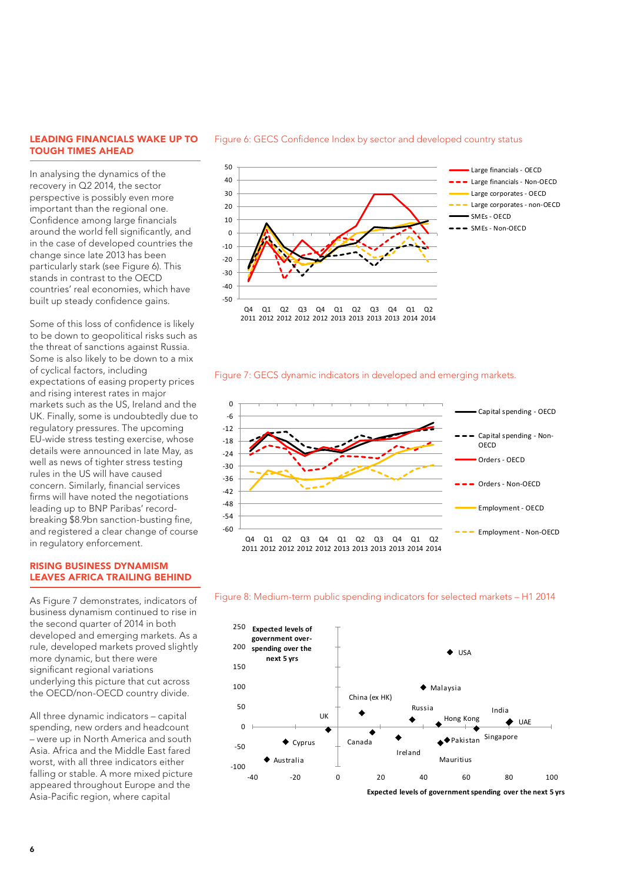#### LEADING FINANCIALS WAKE UP TO TOUGH TIMES AHEAD

In analysing the dynamics of the recovery in Q2 2014, the sector perspective is possibly even more important than the regional one. Confidence among large financials around the world fell significantly, and in the case of developed countries the change since late 2013 has been particularly stark (see Figure 6). This stands in contrast to the OECD countries' real economies, which have built up steady confidence gains.

Some of this loss of confidence is likely to be down to geopolitical risks such as the threat of sanctions against Russia. Some is also likely to be down to a mix of cyclical factors, including expectations of easing property prices and rising interest rates in major markets such as the US, Ireland and the UK. Finally, some is undoubtedly due to regulatory pressures. The upcoming EU-wide stress testing exercise, whose details were announced in late May, as well as news of tighter stress testing rules in the US will have caused concern. Similarly, financial services firms will have noted the negotiations leading up to BNP Paribas' recordbreaking \$8.9bn sanction-busting fine, and registered a clear change of course in regulatory enforcement.

#### RISING BUSINESS DYNAMISM LEAVES AFRICA TRAILING BEHIND

As Figure 7 demonstrates, indicators of business dynamism continued to rise in the second quarter of 2014 in both developed and emerging markets. As a rule, developed markets proved slightly more dynamic, but there were significant regional variations underlying this picture that cut across the OECD/non-OECD country divide.

All three dynamic indicators – capital spending, new orders and headcount – were up in North America and south Asia. Africa and the Middle East fared worst, with all three indicators either falling or stable. A more mixed picture appeared throughout Europe and the Asia-Pacific region, where capital



#### Figure 7: GECS dynamic indicators in developed and emerging markets.







**Expected levels of government spending over the next 5 yrs** 

#### Figure 6: GECS Confidence Index by sector and developed country status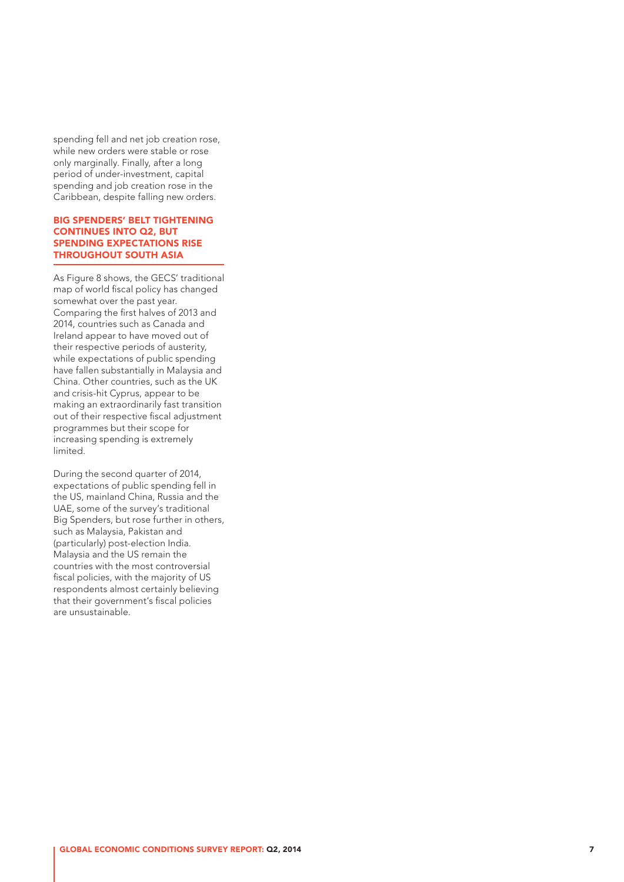spending fell and net job creation rose, while new orders were stable or rose only marginally. Finally, after a long period of under-investment, capital spending and job creation rose in the Caribbean, despite falling new orders.

#### BIG SPENDERS' BELT TIGHTENING CONTINUES INTO Q2, BUT SPENDING EXPECTATIONS RISE THROUGHOUT SOUTH ASIA

As Figure 8 shows, the GECS' traditional map of world fiscal policy has changed somewhat over the past year. Comparing the first halves of 2013 and 2014, countries such as Canada and Ireland appear to have moved out of their respective periods of austerity, while expectations of public spending have fallen substantially in Malaysia and China. Other countries, such as the UK and crisis-hit Cyprus, appear to be making an extraordinarily fast transition out of their respective fiscal adjustment programmes but their scope for increasing spending is extremely limited.

During the second quarter of 2014, expectations of public spending fell in the US, mainland China, Russia and the UAE, some of the survey's traditional Big Spenders, but rose further in others, such as Malaysia, Pakistan and (particularly) post-election India. Malaysia and the US remain the countries with the most controversial fiscal policies, with the majority of US respondents almost certainly believing that their government's fiscal policies are unsustainable.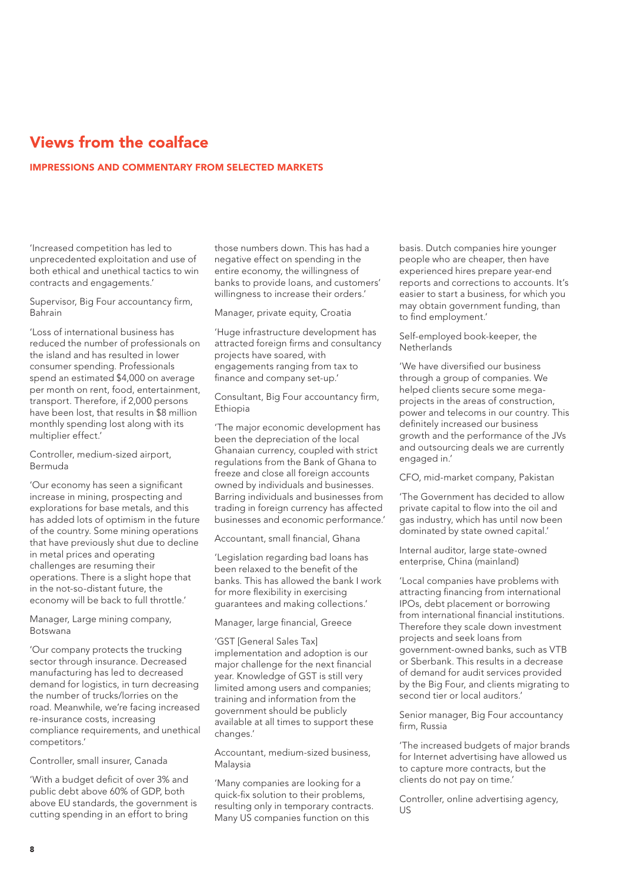# Views from the coalface

## IMPRESSIONS AND COMMENTARY FROM SELECTED MARKETS

'Increased competition has led to unprecedented exploitation and use of both ethical and unethical tactics to win contracts and engagements.'

Supervisor, Big Four accountancy firm, Bahrain

'Loss of international business has reduced the number of professionals on the island and has resulted in lower consumer spending. Professionals spend an estimated \$4,000 on average per month on rent, food, entertainment, transport. Therefore, if 2,000 persons have been lost, that results in \$8 million monthly spending lost along with its multiplier effect.'

Controller, medium-sized airport, Bermuda

'Our economy has seen a significant increase in mining, prospecting and explorations for base metals, and this has added lots of optimism in the future of the country. Some mining operations that have previously shut due to decline in metal prices and operating challenges are resuming their operations. There is a slight hope that in the not-so-distant future, the economy will be back to full throttle.'

Manager, Large mining company, Botswana

'Our company protects the trucking sector through insurance. Decreased manufacturing has led to decreased demand for logistics, in turn decreasing the number of trucks/lorries on the road. Meanwhile, we're facing increased re-insurance costs, increasing compliance requirements, and unethical competitors.'

Controller, small insurer, Canada

'With a budget deficit of over 3% and public debt above 60% of GDP, both above EU standards, the government is cutting spending in an effort to bring

those numbers down. This has had a negative effect on spending in the entire economy, the willingness of banks to provide loans, and customers' willingness to increase their orders.'

Manager, private equity, Croatia

'Huge infrastructure development has attracted foreign firms and consultancy projects have soared, with engagements ranging from tax to finance and company set-up.'

Consultant, Big Four accountancy firm, Ethiopia

'The major economic development has been the depreciation of the local Ghanaian currency, coupled with strict regulations from the Bank of Ghana to freeze and close all foreign accounts owned by individuals and businesses. Barring individuals and businesses from trading in foreign currency has affected businesses and economic performance.'

Accountant, small financial, Ghana

'Legislation regarding bad loans has been relaxed to the benefit of the banks. This has allowed the bank I work for more flexibility in exercising guarantees and making collections.'

#### Manager, large financial, Greece

'GST [General Sales Tax] implementation and adoption is our major challenge for the next financial year. Knowledge of GST is still very limited among users and companies; training and information from the government should be publicly available at all times to support these changes.'

Accountant, medium-sized business, Malaysia

'Many companies are looking for a quick-fix solution to their problems, resulting only in temporary contracts. Many US companies function on this

basis. Dutch companies hire younger people who are cheaper, then have experienced hires prepare year-end reports and corrections to accounts. It's easier to start a business, for which you may obtain government funding, than to find employment.'

Self-employed book-keeper, the **Netherlands** 

'We have diversified our business through a group of companies. We helped clients secure some megaprojects in the areas of construction, power and telecoms in our country. This definitely increased our business growth and the performance of the JVs and outsourcing deals we are currently engaged in.'

CFO, mid-market company, Pakistan

'The Government has decided to allow private capital to flow into the oil and gas industry, which has until now been dominated by state owned capital.'

Internal auditor, large state-owned enterprise, China (mainland)

'Local companies have problems with attracting financing from international IPOs, debt placement or borrowing from international financial institutions. Therefore they scale down investment projects and seek loans from government-owned banks, such as VTB or Sberbank. This results in a decrease of demand for audit services provided by the Big Four, and clients migrating to second tier or local auditors.'

Senior manager, Big Four accountancy firm, Russia

'The increased budgets of major brands for Internet advertising have allowed us to capture more contracts, but the clients do not pay on time.'

Controller, online advertising agency, US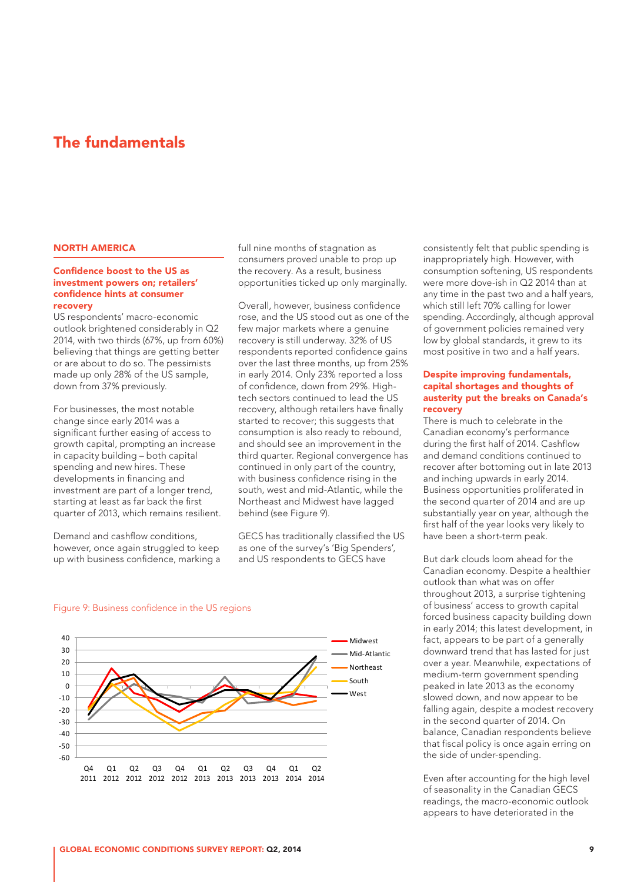## The fundamentals

#### NORTH AMERICA

#### Confidence boost to the US as investment powers on; retailers' confidence hints at consumer recovery

US respondents' macro-economic outlook brightened considerably in Q2 2014, with two thirds (67%, up from 60%) believing that things are getting better or are about to do so. The pessimists made up only 28% of the US sample, down from 37% previously.

For businesses, the most notable change since early 2014 was a significant further easing of access to growth capital, prompting an increase in capacity building – both capital spending and new hires. These developments in financing and investment are part of a longer trend, starting at least as far back the first quarter of 2013, which remains resilient.

Demand and cashflow conditions, however, once again struggled to keep up with business confidence, marking a full nine months of stagnation as consumers proved unable to prop up the recovery. As a result, business opportunities ticked up only marginally.

Overall, however, business confidence rose, and the US stood out as one of the few major markets where a genuine recovery is still underway. 32% of US respondents reported confidence gains over the last three months, up from 25% in early 2014. Only 23% reported a loss of confidence, down from 29%. Hightech sectors continued to lead the US recovery, although retailers have finally started to recover; this suggests that consumption is also ready to rebound, and should see an improvement in the third quarter. Regional convergence has continued in only part of the country, with business confidence rising in the south, west and mid-Atlantic, while the Northeast and Midwest have lagged behind (see Figure 9).

GECS has traditionally classified the US as one of the survey's 'Big Spenders', and US respondents to GECS have

consistently felt that public spending is inappropriately high. However, with consumption softening, US respondents were more dove-ish in Q2 2014 than at any time in the past two and a half years, which still left 70% calling for lower spending. Accordingly, although approval of government policies remained very low by global standards, it grew to its most positive in two and a half years.

#### Despite improving fundamentals, capital shortages and thoughts of austerity put the breaks on Canada's recovery

There is much to celebrate in the Canadian economy's performance during the first half of 2014. Cashflow and demand conditions continued to recover after bottoming out in late 2013 and inching upwards in early 2014. Business opportunities proliferated in the second quarter of 2014 and are up substantially year on year, although the first half of the year looks very likely to have been a short-term peak.

But dark clouds loom ahead for the Canadian economy. Despite a healthier outlook than what was on offer throughout 2013, a surprise tightening of business' access to growth capital forced business capacity building down in early 2014; this latest development, in fact, appears to be part of a generally downward trend that has lasted for just over a year. Meanwhile, expectations of medium-term government spending peaked in late 2013 as the economy slowed down, and now appear to be falling again, despite a modest recovery in the second quarter of 2014. On balance, Canadian respondents believe that fiscal policy is once again erring on the side of under-spending.

Even after accounting for the high level of seasonality in the Canadian GECS readings, the macro-economic outlook appears to have deteriorated in the

#### Figure 9: Business confidence in the US regions

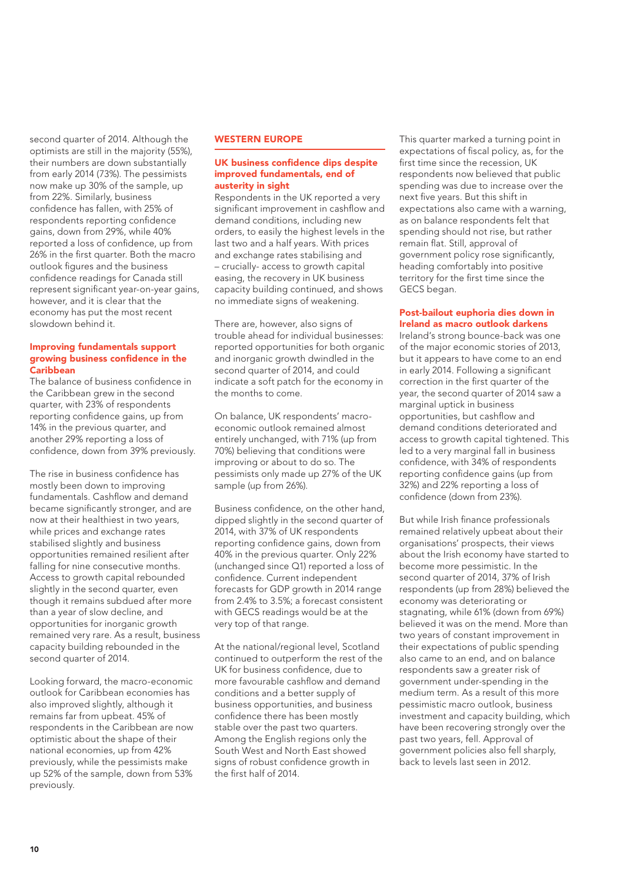second quarter of 2014. Although the optimists are still in the majority (55%), their numbers are down substantially from early 2014 (73%). The pessimists now make up 30% of the sample, up from 22%. Similarly, business confidence has fallen, with 25% of respondents reporting confidence gains, down from 29%, while 40% reported a loss of confidence, up from 26% in the first quarter. Both the macro outlook figures and the business confidence readings for Canada still represent significant year-on-year gains, however, and it is clear that the economy has put the most recent slowdown behind it.

#### Improving fundamentals support growing business confidence in the **Caribhoan**

The balance of business confidence in the Caribbean grew in the second quarter, with 23% of respondents reporting confidence gains, up from 14% in the previous quarter, and another 29% reporting a loss of confidence, down from 39% previously.

The rise in business confidence has mostly been down to improving fundamentals. Cashflow and demand became significantly stronger, and are now at their healthiest in two years, while prices and exchange rates stabilised slightly and business opportunities remained resilient after falling for nine consecutive months. Access to growth capital rebounded slightly in the second quarter, even though it remains subdued after more than a year of slow decline, and opportunities for inorganic growth remained very rare. As a result, business capacity building rebounded in the second quarter of 2014.

Looking forward, the macro-economic outlook for Caribbean economies has also improved slightly, although it remains far from upbeat. 45% of respondents in the Caribbean are now optimistic about the shape of their national economies, up from 42% previously, while the pessimists make up 52% of the sample, down from 53% previously.

#### WESTERN EUROPE

#### UK business confidence dips despite improved fundamentals, end of austerity in sight

Respondents in the UK reported a very significant improvement in cashflow and demand conditions, including new orders, to easily the highest levels in the last two and a half years. With prices and exchange rates stabilising and – crucially- access to growth capital easing, the recovery in UK business capacity building continued, and shows no immediate signs of weakening.

There are, however, also signs of trouble ahead for individual businesses: reported opportunities for both organic and inorganic growth dwindled in the second quarter of 2014, and could indicate a soft patch for the economy in the months to come.

On balance, UK respondents' macroeconomic outlook remained almost entirely unchanged, with 71% (up from 70%) believing that conditions were improving or about to do so. The pessimists only made up 27% of the UK sample (up from 26%).

Business confidence, on the other hand, dipped slightly in the second quarter of 2014, with 37% of UK respondents reporting confidence gains, down from 40% in the previous quarter. Only 22% (unchanged since Q1) reported a loss of confidence. Current independent forecasts for GDP growth in 2014 range from 2.4% to 3.5%; a forecast consistent with GECS readings would be at the very top of that range.

At the national/regional level, Scotland continued to outperform the rest of the UK for business confidence, due to more favourable cashflow and demand conditions and a better supply of business opportunities, and business confidence there has been mostly stable over the past two quarters. Among the English regions only the South West and North East showed signs of robust confidence growth in the first half of 2014.

This quarter marked a turning point in expectations of fiscal policy, as, for the first time since the recession, UK respondents now believed that public spending was due to increase over the next five years. But this shift in expectations also came with a warning, as on balance respondents felt that spending should not rise, but rather remain flat. Still, approval of government policy rose significantly, heading comfortably into positive territory for the first time since the GECS began.

#### Post-bailout euphoria dies down in Ireland as macro outlook darkens

Ireland's strong bounce-back was one of the major economic stories of 2013, but it appears to have come to an end in early 2014. Following a significant correction in the first quarter of the year, the second quarter of 2014 saw a marginal uptick in business opportunities, but cashflow and demand conditions deteriorated and access to growth capital tightened. This led to a very marginal fall in business confidence, with 34% of respondents reporting confidence gains (up from 32%) and 22% reporting a loss of confidence (down from 23%).

But while Irish finance professionals remained relatively upbeat about their organisations' prospects, their views about the Irish economy have started to become more pessimistic. In the second quarter of 2014, 37% of Irish respondents (up from 28%) believed the economy was deteriorating or stagnating, while 61% (down from 69%) believed it was on the mend. More than two years of constant improvement in their expectations of public spending also came to an end, and on balance respondents saw a greater risk of government under-spending in the medium term. As a result of this more pessimistic macro outlook, business investment and capacity building, which have been recovering strongly over the past two years, fell. Approval of government policies also fell sharply, back to levels last seen in 2012.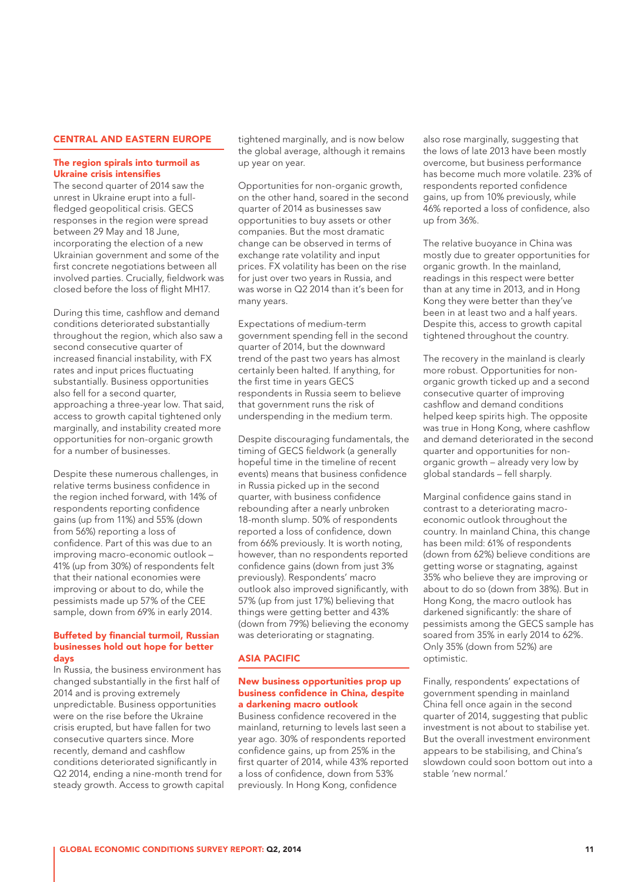#### CENTRAL AND EASTERN EUROPE

#### The region spirals into turmoil as Ukraine crisis intensifies

The second quarter of 2014 saw the unrest in Ukraine erupt into a fullfledged geopolitical crisis. GECS responses in the region were spread between 29 May and 18 June, incorporating the election of a new Ukrainian government and some of the first concrete negotiations between all involved parties. Crucially, fieldwork was closed before the loss of flight MH17.

During this time, cashflow and demand conditions deteriorated substantially throughout the region, which also saw a second consecutive quarter of increased financial instability, with FX rates and input prices fluctuating substantially. Business opportunities also fell for a second quarter, approaching a three-year low. That said, access to growth capital tightened only marginally, and instability created more opportunities for non-organic growth for a number of businesses.

Despite these numerous challenges, in relative terms business confidence in the region inched forward, with 14% of respondents reporting confidence gains (up from 11%) and 55% (down from 56%) reporting a loss of confidence. Part of this was due to an improving macro-economic outlook – 41% (up from 30%) of respondents felt that their national economies were improving or about to do, while the pessimists made up 57% of the CEE sample, down from 69% in early 2014.

#### Buffeted by financial turmoil, Russian businesses hold out hope for better days

In Russia, the business environment has changed substantially in the first half of 2014 and is proving extremely unpredictable. Business opportunities were on the rise before the Ukraine crisis erupted, but have fallen for two consecutive quarters since. More recently, demand and cashflow conditions deteriorated significantly in Q2 2014, ending a nine-month trend for steady growth. Access to growth capital

tightened marginally, and is now below the global average, although it remains up year on year.

Opportunities for non-organic growth, on the other hand, soared in the second quarter of 2014 as businesses saw opportunities to buy assets or other companies. But the most dramatic change can be observed in terms of exchange rate volatility and input prices. FX volatility has been on the rise for just over two years in Russia, and was worse in Q2 2014 than it's been for many years.

Expectations of medium-term government spending fell in the second quarter of 2014, but the downward trend of the past two years has almost certainly been halted. If anything, for the first time in years GECS respondents in Russia seem to believe that government runs the risk of underspending in the medium term.

Despite discouraging fundamentals, the timing of GECS fieldwork (a generally hopeful time in the timeline of recent events) means that business confidence in Russia picked up in the second quarter, with business confidence rebounding after a nearly unbroken 18-month slump. 50% of respondents reported a loss of confidence, down from 66% previously. It is worth noting, however, than no respondents reported confidence gains (down from just 3% previously). Respondents' macro outlook also improved significantly, with 57% (up from just 17%) believing that things were getting better and 43% (down from 79%) believing the economy was deteriorating or stagnating.

#### ASIA PACIFIC

#### New business opportunities prop up business confidence in China, despite a darkening macro outlook

Business confidence recovered in the mainland, returning to levels last seen a year ago. 30% of respondents reported confidence gains, up from 25% in the first quarter of 2014, while 43% reported a loss of confidence, down from 53% previously. In Hong Kong, confidence

also rose marginally, suggesting that the lows of late 2013 have been mostly overcome, but business performance has become much more volatile. 23% of respondents reported confidence gains, up from 10% previously, while 46% reported a loss of confidence, also up from 36%.

The relative buoyance in China was mostly due to greater opportunities for organic growth. In the mainland, readings in this respect were better than at any time in 2013, and in Hong Kong they were better than they've been in at least two and a half years. Despite this, access to growth capital tightened throughout the country.

The recovery in the mainland is clearly more robust. Opportunities for nonorganic growth ticked up and a second consecutive quarter of improving cashflow and demand conditions helped keep spirits high. The opposite was true in Hong Kong, where cashflow and demand deteriorated in the second quarter and opportunities for nonorganic growth – already very low by global standards – fell sharply.

Marginal confidence gains stand in contrast to a deteriorating macroeconomic outlook throughout the country. In mainland China, this change has been mild: 61% of respondents (down from 62%) believe conditions are getting worse or stagnating, against 35% who believe they are improving or about to do so (down from 38%). But in Hong Kong, the macro outlook has darkened significantly: the share of pessimists among the GECS sample has soared from 35% in early 2014 to 62%. Only 35% (down from 52%) are optimistic.

Finally, respondents' expectations of government spending in mainland China fell once again in the second quarter of 2014, suggesting that public investment is not about to stabilise yet. But the overall investment environment appears to be stabilising, and China's slowdown could soon bottom out into a stable 'new normal.'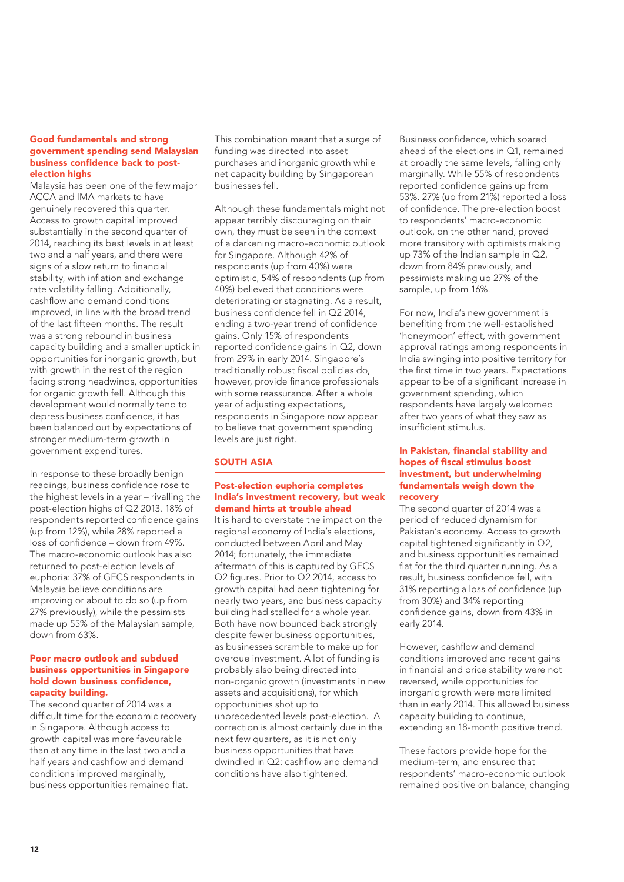#### Good fundamentals and strong government spending send Malaysian business confidence back to postelection highs

Malaysia has been one of the few major ACCA and IMA markets to have genuinely recovered this quarter. Access to growth capital improved substantially in the second quarter of 2014, reaching its best levels in at least two and a half years, and there were signs of a slow return to financial stability, with inflation and exchange rate volatility falling. Additionally, cashflow and demand conditions improved, in line with the broad trend of the last fifteen months. The result was a strong rebound in business capacity building and a smaller uptick in opportunities for inorganic growth, but with growth in the rest of the region facing strong headwinds, opportunities for organic growth fell. Although this development would normally tend to depress business confidence, it has been balanced out by expectations of stronger medium-term growth in government expenditures.

In response to these broadly benign readings, business confidence rose to the highest levels in a year – rivalling the post-election highs of Q2 2013. 18% of respondents reported confidence gains (up from 12%), while 28% reported a loss of confidence – down from 49%. The macro-economic outlook has also returned to post-election levels of euphoria: 37% of GECS respondents in Malaysia believe conditions are improving or about to do so (up from 27% previously), while the pessimists made up 55% of the Malaysian sample, down from 63%.

#### Poor macro outlook and subdued business opportunities in Singapore hold down business confidence, capacity building.

The second quarter of 2014 was a difficult time for the economic recovery in Singapore. Although access to growth capital was more favourable than at any time in the last two and a half years and cashflow and demand conditions improved marginally, business opportunities remained flat.

This combination meant that a surge of funding was directed into asset purchases and inorganic growth while net capacity building by Singaporean businesses fell.

Although these fundamentals might not appear terribly discouraging on their own, they must be seen in the context of a darkening macro-economic outlook for Singapore. Although 42% of respondents (up from 40%) were optimistic, 54% of respondents (up from 40%) believed that conditions were deteriorating or stagnating. As a result, business confidence fell in Q2 2014, ending a two-year trend of confidence gains. Only 15% of respondents reported confidence gains in Q2, down from 29% in early 2014. Singapore's traditionally robust fiscal policies do, however, provide finance professionals with some reassurance. After a whole year of adjusting expectations, respondents in Singapore now appear to believe that government spending levels are just right.

### SOUTH ASIA

#### Post-election euphoria completes India's investment recovery, but weak demand hints at trouble ahead

It is hard to overstate the impact on the regional economy of India's elections, conducted between April and May 2014; fortunately, the immediate aftermath of this is captured by GECS Q2 figures. Prior to Q2 2014, access to growth capital had been tightening for nearly two years, and business capacity building had stalled for a whole year. Both have now bounced back strongly despite fewer business opportunities, as businesses scramble to make up for overdue investment. A lot of funding is probably also being directed into non-organic growth (investments in new assets and acquisitions), for which opportunities shot up to unprecedented levels post-election. A correction is almost certainly due in the next few quarters, as it is not only business opportunities that have dwindled in Q2: cashflow and demand conditions have also tightened.

Business confidence, which soared ahead of the elections in Q1, remained at broadly the same levels, falling only marginally. While 55% of respondents reported confidence gains up from 53%. 27% (up from 21%) reported a loss of confidence. The pre-election boost to respondents' macro-economic outlook, on the other hand, proved more transitory with optimists making up 73% of the Indian sample in Q2, down from 84% previously, and pessimists making up 27% of the sample, up from 16%.

For now, India's new government is benefiting from the well-established 'honeymoon' effect, with government approval ratings among respondents in India swinging into positive territory for the first time in two years. Expectations appear to be of a significant increase in government spending, which respondents have largely welcomed after two years of what they saw as insufficient stimulus.

#### In Pakistan, financial stability and hopes of fiscal stimulus boost investment, but underwhelming fundamentals weigh down the recovery

The second quarter of 2014 was a period of reduced dynamism for Pakistan's economy. Access to growth capital tightened significantly in Q2, and business opportunities remained flat for the third quarter running. As a result, business confidence fell, with 31% reporting a loss of confidence (up from 30%) and 34% reporting confidence gains, down from 43% in early 2014.

However, cashflow and demand conditions improved and recent gains in financial and price stability were not reversed, while opportunities for inorganic growth were more limited than in early 2014. This allowed business capacity building to continue, extending an 18-month positive trend.

These factors provide hope for the medium-term, and ensured that respondents' macro-economic outlook remained positive on balance, changing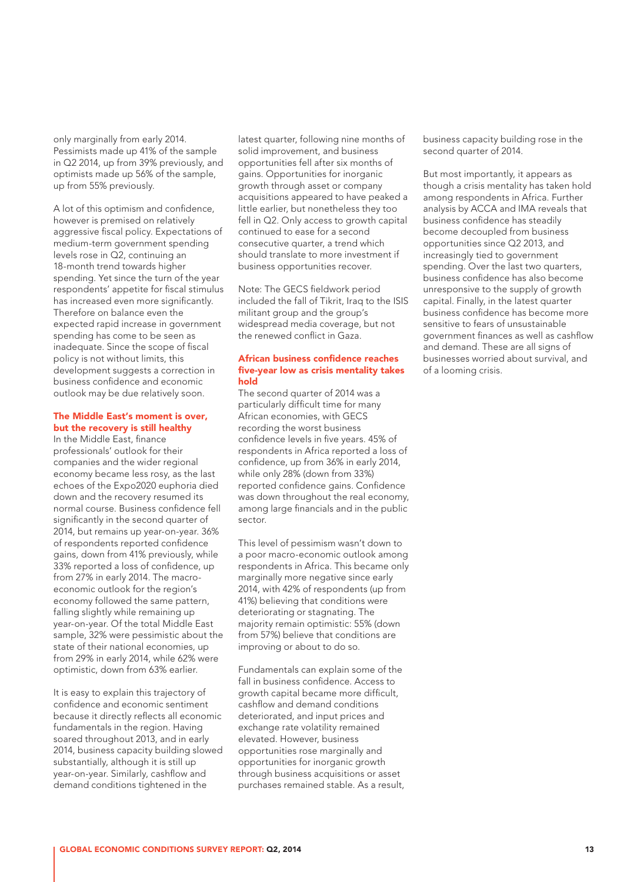only marginally from early 2014. Pessimists made up 41% of the sample in Q2 2014, up from 39% previously, and optimists made up 56% of the sample, up from 55% previously.

A lot of this optimism and confidence, however is premised on relatively aggressive fiscal policy. Expectations of medium-term government spending levels rose in Q2, continuing an 18-month trend towards higher spending. Yet since the turn of the year respondents' appetite for fiscal stimulus has increased even more significantly. Therefore on balance even the expected rapid increase in government spending has come to be seen as inadequate. Since the scope of fiscal policy is not without limits, this development suggests a correction in business confidence and economic outlook may be due relatively soon.

#### The Middle East's moment is over, but the recovery is still healthy

In the Middle East, finance professionals' outlook for their companies and the wider regional economy became less rosy, as the last echoes of the Expo2020 euphoria died down and the recovery resumed its normal course. Business confidence fell significantly in the second quarter of 2014, but remains up year-on-year. 36% of respondents reported confidence gains, down from 41% previously, while 33% reported a loss of confidence, up from 27% in early 2014. The macroeconomic outlook for the region's economy followed the same pattern, falling slightly while remaining up year-on-year. Of the total Middle East sample, 32% were pessimistic about the state of their national economies, up from 29% in early 2014, while 62% were optimistic, down from 63% earlier.

It is easy to explain this trajectory of confidence and economic sentiment because it directly reflects all economic fundamentals in the region. Having soared throughout 2013, and in early 2014, business capacity building slowed substantially, although it is still up year-on-year. Similarly, cashflow and demand conditions tightened in the

latest quarter, following nine months of solid improvement, and business opportunities fell after six months of gains. Opportunities for inorganic growth through asset or company acquisitions appeared to have peaked a little earlier, but nonetheless they too fell in Q2. Only access to growth capital continued to ease for a second consecutive quarter, a trend which should translate to more investment if business opportunities recover.

Note: The GECS fieldwork period included the fall of Tikrit, Iraq to the ISIS militant group and the group's widespread media coverage, but not the renewed conflict in Gaza.

#### African business confidence reaches five-year low as crisis mentality takes hold

The second quarter of 2014 was a particularly difficult time for many African economies, with GECS recording the worst business confidence levels in five years. 45% of respondents in Africa reported a loss of confidence, up from 36% in early 2014, while only 28% (down from 33%) reported confidence gains. Confidence was down throughout the real economy, among large financials and in the public sector.

This level of pessimism wasn't down to a poor macro-economic outlook among respondents in Africa. This became only marginally more negative since early 2014, with 42% of respondents (up from 41%) believing that conditions were deteriorating or stagnating. The majority remain optimistic: 55% (down from 57%) believe that conditions are improving or about to do so.

Fundamentals can explain some of the fall in business confidence. Access to growth capital became more difficult, cashflow and demand conditions deteriorated, and input prices and exchange rate volatility remained elevated. However, business opportunities rose marginally and opportunities for inorganic growth through business acquisitions or asset purchases remained stable. As a result, business capacity building rose in the second quarter of 2014.

But most importantly, it appears as though a crisis mentality has taken hold among respondents in Africa. Further analysis by ACCA and IMA reveals that business confidence has steadily become decoupled from business opportunities since Q2 2013, and increasingly tied to government spending. Over the last two quarters, business confidence has also become unresponsive to the supply of growth capital. Finally, in the latest quarter business confidence has become more sensitive to fears of unsustainable government finances as well as cashflow and demand. These are all signs of businesses worried about survival, and of a looming crisis.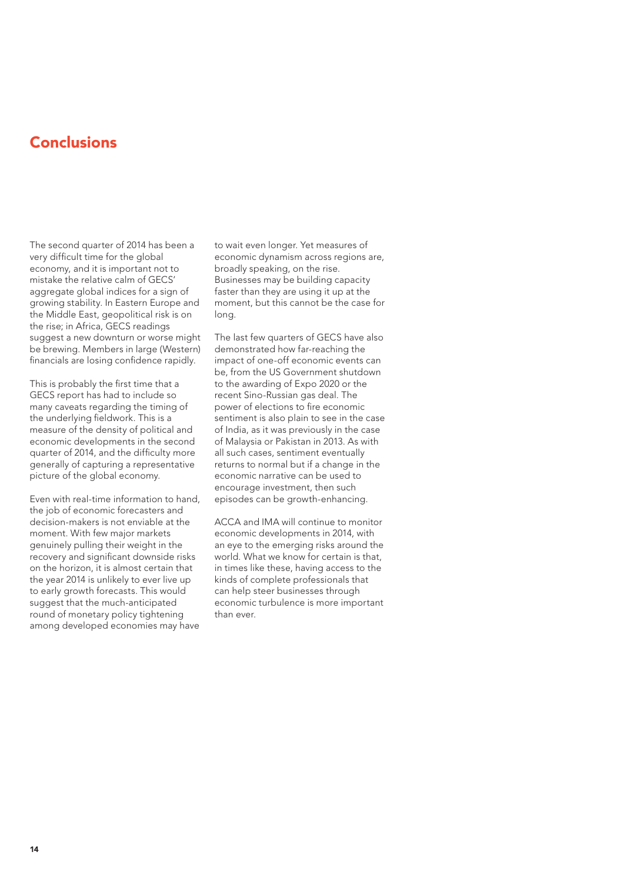# **Conclusions**

The second quarter of 2014 has been a very difficult time for the global economy, and it is important not to mistake the relative calm of GECS' aggregate global indices for a sign of growing stability. In Eastern Europe and the Middle East, geopolitical risk is on the rise; in Africa, GECS readings suggest a new downturn or worse might be brewing. Members in large (Western) financials are losing confidence rapidly.

This is probably the first time that a GECS report has had to include so many caveats regarding the timing of the underlying fieldwork. This is a measure of the density of political and economic developments in the second quarter of 2014, and the difficulty more generally of capturing a representative picture of the global economy.

Even with real-time information to hand, the job of economic forecasters and decision-makers is not enviable at the moment. With few major markets genuinely pulling their weight in the recovery and significant downside risks on the horizon, it is almost certain that the year 2014 is unlikely to ever live up to early growth forecasts. This would suggest that the much-anticipated round of monetary policy tightening among developed economies may have to wait even longer. Yet measures of economic dynamism across regions are, broadly speaking, on the rise. Businesses may be building capacity faster than they are using it up at the moment, but this cannot be the case for long.

The last few quarters of GECS have also demonstrated how far-reaching the impact of one-off economic events can be, from the US Government shutdown to the awarding of Expo 2020 or the recent Sino-Russian gas deal. The power of elections to fire economic sentiment is also plain to see in the case of India, as it was previously in the case of Malaysia or Pakistan in 2013. As with all such cases, sentiment eventually returns to normal but if a change in the economic narrative can be used to encourage investment, then such episodes can be growth-enhancing.

ACCA and IMA will continue to monitor economic developments in 2014, with an eye to the emerging risks around the world. What we know for certain is that, in times like these, having access to the kinds of complete professionals that can help steer businesses through economic turbulence is more important than ever.